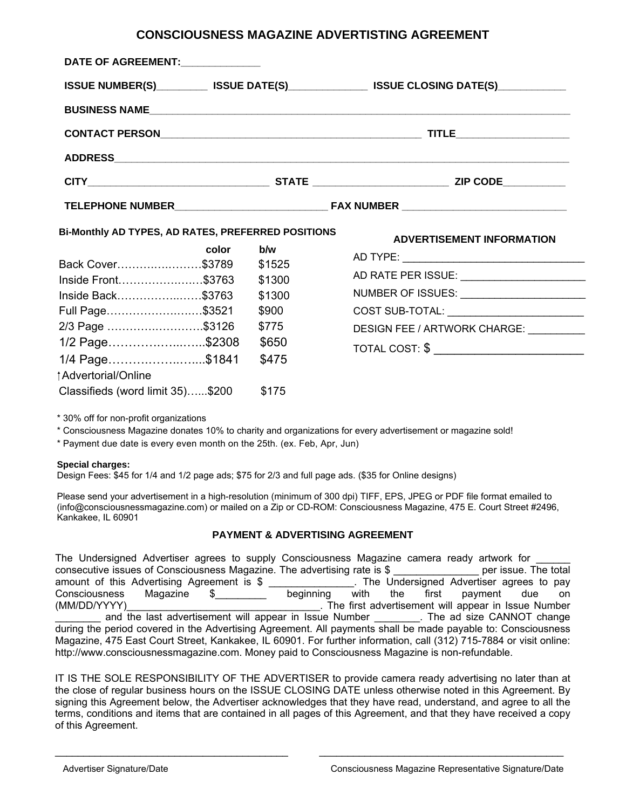## **CONSCIOUSNESS MAGAZINE ADVERTISTING AGREEMENT**

| DATE OF AGREEMENT:_____________                                                           |       |                 |                                                  |  |
|-------------------------------------------------------------------------------------------|-------|-----------------|--------------------------------------------------|--|
| ISSUE NUMBER(S)___________ ISSUE DATE(S)_______________ ISSUE CLOSING DATE(S)____________ |       |                 |                                                  |  |
|                                                                                           |       |                 |                                                  |  |
|                                                                                           |       |                 |                                                  |  |
|                                                                                           |       |                 |                                                  |  |
|                                                                                           |       |                 |                                                  |  |
|                                                                                           |       |                 |                                                  |  |
| Bi-Monthly AD TYPES, AD RATES, PREFERRED POSITIONS                                        |       |                 | <b>ADVERTISEMENT INFORMATION</b>                 |  |
|                                                                                           | color | b/w             |                                                  |  |
| Back Cover\$3789 \$1525                                                                   |       |                 |                                                  |  |
| lnside Front……………………\$3763<br>Inside Back\$3763                                           |       | \$1300          | NUMBER OF ISSUES: Version of AUMBER OF ISSUES:   |  |
| Full Page\$3521                                                                           |       | \$1300<br>\$900 | COST SUB-TOTAL: ___________________________      |  |
| 2/3 Page \$3126                                                                           |       | \$775           | DESIGN FEE / ARTWORK CHARGE: University Property |  |
| 1/2 Page\$2308                                                                            |       | \$650           |                                                  |  |
| 1/4 Page\$1841                                                                            |       | \$475           | TOTAL COST: \$ _____________________________     |  |
| Advertorial/Online                                                                        |       |                 |                                                  |  |

\* 30% off for non-profit organizations

Classifieds (word limit 35)…...\$200 \$175

\* Consciousness Magazine donates 10% to charity and organizations for every advertisement or magazine sold!

\* Payment due date is every even month on the 25th. (ex. Feb, Apr, Jun)

## **Special charges:**

Design Fees: \$45 for 1/4 and 1/2 page ads; \$75 for 2/3 and full page ads. (\$35 for Online designs)

Please send your advertisement in a high-resolution (minimum of 300 dpi) TIFF, EPS, JPEG or PDF file format emailed to (info@consciousnessmagazine.com) or mailed on a Zip or CD-ROM: Consciousness Magazine, 475 E. Court Street #2496, Kankakee, IL 60901

## **PAYMENT & ADVERTISING AGREEMENT**

The Undersigned Advertiser agrees to supply Consciousness Magazine camera ready artwork for consecutive issues of Consciousness Magazine. The advertising rate is \$ per issue. The total amount of this Advertising Agreement is \$ \_\_\_\_\_\_\_\_\_\_\_\_\_\_\_. The Undersigned Advertiser agrees to pay Consciousness Magazine \$\_\_\_\_\_\_\_\_\_ beginning with the first payment due on (MM/DD/YYYY)\_\_\_\_\_\_\_\_\_\_\_\_\_\_\_\_\_\_\_\_\_\_\_\_\_\_\_\_\_\_\_\_\_\_. The first advertisement will appear in Issue Number and the last advertisement will appear in Issue Number . The ad size CANNOT change during the period covered in the Advertising Agreement. All payments shall be made payable to: Consciousness Magazine, 475 East Court Street, Kankakee, IL 60901. For further information, call (312) 715-7884 or visit online: http://www.consciousnessmagazine.com. Money paid to Consciousness Magazine is non-refundable.

IT IS THE SOLE RESPONSIBILITY OF THE ADVERTISER to provide camera ready advertising no later than at the close of regular business hours on the ISSUE CLOSING DATE unless otherwise noted in this Agreement. By signing this Agreement below, the Advertiser acknowledges that they have read, understand, and agree to all the terms, conditions and items that are contained in all pages of this Agreement, and that they have received a copy of this Agreement.

 $\_$  , and the set of the set of the set of the set of the set of the set of the set of the set of the set of the set of the set of the set of the set of the set of the set of the set of the set of the set of the set of th